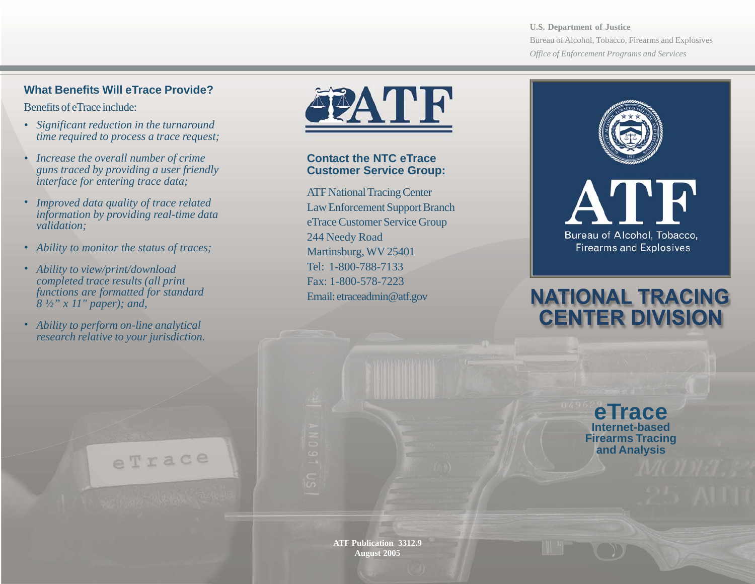**U.S. Department of Justice** Bureau of Alcohol, Tobacco, Firearms and Explosives *Office of Enforcement Programs and Services*

### **What Benefits Will eTrace Provide?**

Benefits of eTrace include:

- *Significant reduction in the turnaround time required to process a trace request;* **.**
- *Increase the overall number of crime* **.** *guns traced by providing a user friendly interface for entering trace data;*
- *Improved data quality of trace related information by providing real-time data validation;* **.**
- *Ability to monitor the status of traces;* **.**
- *Ability to view/print/download completed trace results (all print functions are formatted for standard 8 ½" x 11" paper); and,* **.**
- *Ability to perform on-line analytical research relative to your jurisdiction.* **.**

eTrace



**Contact the NTC eTrace Customer Service Group:**

ATF National Tracing Center Law Enforcement Support Branch eTrace Customer Service Group 244 Needy Road Martinsburg, WV 25401 Tel: 1-800-788-7133 Fax: 1-800-578-7223 Email: etraceadmin@atf.gov



# **NATIONAL TRACING CENTER DIVISIO**

**eTrace Internet-based Firearms Tracing and Analysis**

**ATF Publication 3312.9 August 2005**